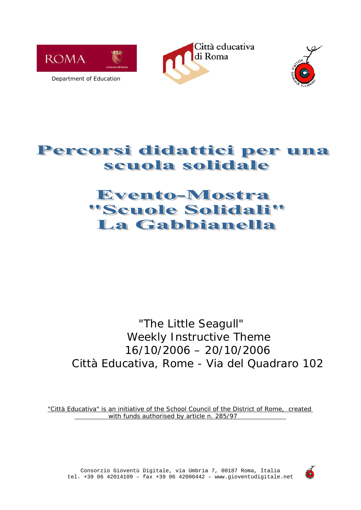

Città educativa di Roma



# Percorsi didattici per una scuola solidale

# Evento-Mostra "Scuole Solidali" La Gabbianella

# "The Little Seagull" Weekly Instructive Theme 16/10/2006 – 20/10/2006 Città Educativa, Rome - Via del Quadraro 102

*"Città Educativa" is an initiative of the School Council of the District of Rome, created with funds authorised by article n. 285/97*



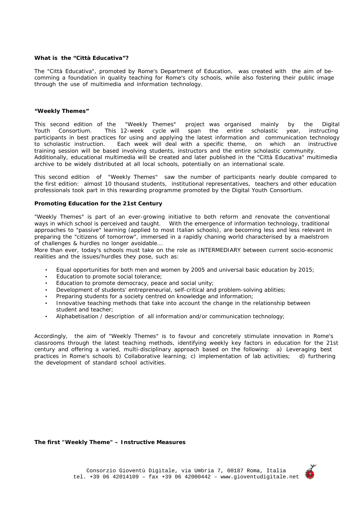#### *What is the "Città Educativa"?*

*The "Città Educativa", promoted by Rome's Department of Education, was created with the aim of becomming a foundation in quality teaching for Rome's city schools, while also fostering their public image through the use of multimedia and information technology.* 

#### *"Weekly Themes"*

*This second edition of the "Weekly Themes" project was organised mainly by the Digital Youth Consortium. This 12-week cycle will span the entire scholastic year, instructing participants in best practices for using and applying the latest information and communication technology to scholastic instruction. Each week will deal with a specific theme, on which an instructive training session will be based involving students, instructors and the entire scholastic community. Additionally, educational multimedia will be created and later published in the "Città Educativa" multimedia archive to be widely distributed at all local schools, potentially on an international scale.* 

*This second edition of "Weekly Themes" saw the number of participants nearly double compared to the first edition: almost 10 thousand students, institutional representatives, teachers and other education professionals took part in this rewarding programme promoted by the Digital Youth Consortium.* 

#### *Promoting Education for the 21st Century*

*"Weekly Themes" is part of an ever-growing initiative to both reform and renovate the conventional ways in which school is perceived and taught. With the emergence of information technology, traditional approaches to "passive" learning (applied to most Italian schools), are becoming less and less relevant in preparing the "citizens of tomorrow", immersed in a rapidly chaning world characterised by a maelstrom of challenges & hurdles no longer avoidable...*

*More than ever, today's schools must take on the role as INTERMEDIARY between current socio-economic realities and the issues/hurdles they pose, such as:* 

- *Equal opportunities for both men and women by 2005 and universal basic education by 2015;*
- • *Education to promote social tolerance;*
- *Education to promote democracy, peace and social unity;*
- *Development of students' entrepreneurial, self-critical and problem-solving ablities;*
- *Preparing students for a society centred on knowledge and information;*
- *Innovative teaching methods that take into account the change in the relationship between student and teacher;*
- *Alphabetisation / description of all information and/or communication technology;*

*Accordingly, the aim of "Weekly Themes" is to favour and concretely stimulate innovation in Rome's classrooms through the latest teaching methods, identifying weekly key factors in education for the 21st century and offering a varied, multi-disciplinary approach based on the following: a) Leveraging best practices in Rome's schools b) Collaborative learning; c) implementation of lab activities; d) furthering the development of standard school activities.* 

#### *The first "Weekly Theme" – Instructive Measures*

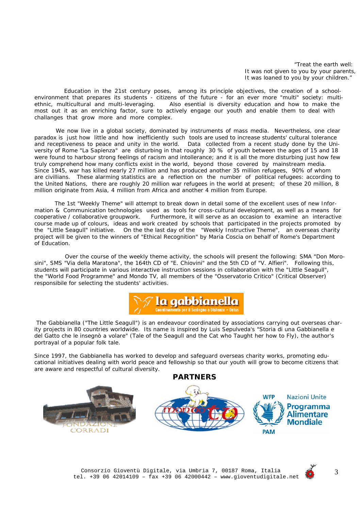*"Treat the earth well: It was not given to you by your parents, It was loaned to you by your children."* 

 *Education in the 21st century poses, among its principle objectives, the creation of a schoolenvironment that prepares its students - citizens of the future - for an ever more "multi" society: multiethnic, multicultural and multi-leveraging. Also esential is diversity education and how to make the most out it as an enriching factor, sure to actively engage our youth and enable them to deal with challanges that grow more and more complex.* 

*We now live in a global society, dominated by instruments of mass media. Nevertheless, one clear paradox is just how little and how inefficiently such tools are used to increase students' cultural tolerance and receptiveness to peace and unity in the world. Data collected from a recent study done by the University of Rome "La Sapienza" are disturbing in that roughly 30 % of youth between the ages of 15 and 18 were found to harbour strong feelings of racism and intollerance; and it is all the more disturbing just how few truly comprehend how many conflicts exist in the world, beyond those covered by mainstream media. Since 1945, war has killed nearly 27 million and has produced another 35 million refugees, 90% of whom are civillians. These alarming statistics are a reflection on the number of political refugees: according to the United Nations, there are roughly 20 million war refugees in the world at present; of these 20 million, 8 million originate from Asia, 4 million from Africa and another 4 million from Europe.*

 *The 1st "Weekly Theme" will attempt to break down in detail some of the excellent uses of new Information & Communication technologies used as tools for cross-cultural development, as well as a means for cooperative / collaborative groupwork. Furthermore, it will serve as an occasion to examine an interactive course made up of colours, ideas and work created by schools that participated in the projects promoted by the "Little Seagull" initiative. On the the last day of the "Weekly Instructive Theme", an overseas charity project will be given to the winners of "Ethical Recognition" by Maria Coscia on behalf of Rome's Department of Education.* 

 *Over the course of the weekly theme activity, the schools will present the following: SMA "Don Morosini", SMS "Via della Maratona", the 164th CD of "E. Chiovini" and the 5th CD of "V. Alfieri". Following this, students will participate in various interactive instruction sessions in collaboration with the "Little Seagull", the "World Food Programme" and Mondo TV, all members of the "Osservatorio Critico" (Critical Observer) responsibile for selecting the students' activities.*



 *The Gabbianella ("The Little Seagull") is an endeavour coordinated by associations carrying out overseas charity projects in 80 countries worldwide. Its name is inspired by Luis Sepulveda's "Storia di una Gabbianella e del Gatto che le insegnò a volare" (Tale of the Seagull and the Cat who Taught her how to Fly), the author's portrayal of a popular folk tale.*

*Since 1997, the Gabbianella has worked to develop and safeguard overseas charity works, promoting educational initiatives dealing with world peace and fellowship so that our youth will grow to become citizens that are aware and respectful of cultural diversity.* 





3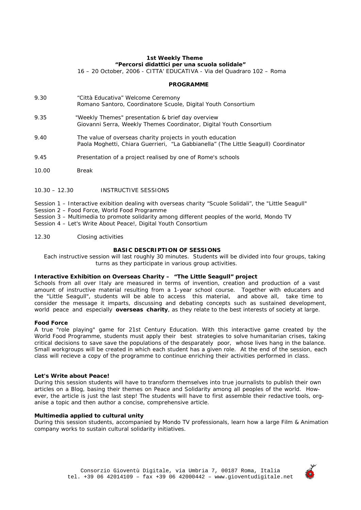### *1st Weekly Theme "Percorsi didattici per una scuola solidale"*

*16 – 20 October, 2006 - CITTA' EDUCATIVA - Via del Quadraro 102 – Roma* 

# *PROGRAMME*

- *9.30* "Città Educativa" Welcome Ceremony *Romano Santoro, Coordinatore Scuole, Digital Youth Consortium*
- *9.35* "Weekly Themes" presentation & brief day overview *Giovanni Serra, Weekly Themes Coordinator, Digital Youth Consortium*
- *9.40* The value of overseas charity projects in youth education  *Paola Moghetti, Chiara Guerrieri, "La Gabbianella" (The Little Seagull) Coordinator*
- *9.45* Presentation of a project realised by one of Rome's schools
- *10.00 Break*
- *10.30 12.30 INSTRUCTIVE SESSIONS*
- Session 1 *Interactive exibition dealing with overseas charity "Scuole Solidali", the "Little Seagull"*
- Session 2 *Food Force*, World Food Programme
- Session 3 *Multimedia to promote solidarity among different peoples of the world*, Mondo TV
- Session 4 *Let's Write About Peace!,* Digital Youth Consortium
- *12.30* Closing activities

# *BASIC DESCRIPTION OF SESSIONS*

*Each instructive session will last roughly 30 minutes. Students will be divided into four groups, taking turns as they participate in various group activities.* 

# *Interactive Exhibition on Overseas Charity – "The Little Seagull" project*

*Schools from all over Italy are measured in terms of invention, creation and production of a vast amount of instructive material resulting from a 1-year school course. Together with educaters and the "Little Seagull", students will be able to access this material, and above all, take time to consider the message it imparts, discussing and debating concepts such as sustained development, world peace and especially overseas charity, as they relate to the best interests of society at large.*

#### *Food Force*

*A true "role playing" game for 21st Century Education. With this interactive game created by the World Food Programme, students must apply their best strategies to solve humanitarian crises, taking critical decisions to save save the populations of the desparately poor, whose lives hang in the balance. Small workgroups will be created in which each student has a given role. At the end of the session, each class will recieve a copy of the programme to continue enriching their activities performed in class.* 

### *Let's Write about Peace!*

*During this session students will have to transform themselves into true journalists to publish their own articles on a Blog, basing their themes on Peace and Solidarity among all peoples of the world. However, the article is just the last step! The students will have to first assemble their redactive tools, organise a topic and then author a concise, comprehensive article.* 

# *Multimedia applied to cultural unity*

*During this session students, accompanied by Mondo TV professionals, learn how a large Film & Animation company works to sustain cultural solidarity initiatives.*

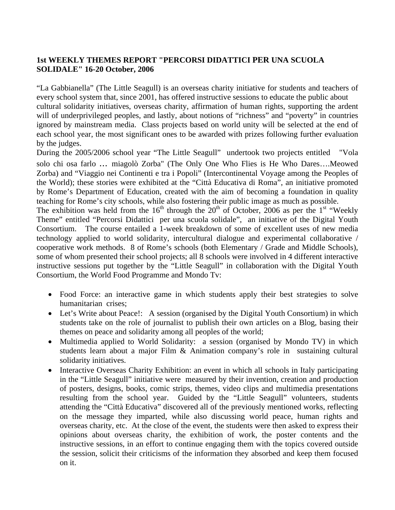# **1st WEEKLY THEMES REPORT "PERCORSI DIDATTICI PER UNA SCUOLA SOLIDALE" 16-20 October, 2006**

"La Gabbianella" (The Little Seagull) is an overseas charity initiative for students and teachers of every school system that, since 2001, has offered instructive sessions to educate the public about cultural solidarity initiatives, overseas charity, affirmation of human rights, supporting the ardent will of underprivileged peoples, and lastly, about notions of "richness" and "poverty" in countries ignored by mainstream media. Class projects based on world unity will be selected at the end of each school year, the most significant ones to be awarded with prizes following further evaluation by the judges.

During the 2005/2006 school year "The Little Seagull" undertook two projects entitled "Vola solo chi osa farlo ... miagolò Zorba" (The Only One Who Flies is He Who Dares….Meowed Zorba) and "Viaggio nei Continenti e tra i Popoli" (Intercontinental Voyage among the Peoples of the World); these stories were exhibited at the "Città Educativa di Roma", an initiative promoted by Rome's Department of Education, created with the aim of becoming a foundation in quality teaching for Rome's city schools, while also fostering their public image as much as possible. The exhibition was held from the  $16<sup>th</sup>$  through the  $20<sup>th</sup>$  of October, 2006 as per the 1<sup>st</sup> "Weekly Theme" entitled "Percorsi Didattici per una scuola solidale", an initiative of the Digital Youth Consortium. The course entailed a 1-week breakdown of some of excellent uses of new media technology applied to world solidarity, intercultural dialogue and experimental collaborative / cooperative work methods. 8 of Rome's schools (both Elementary / Grade and Middle Schools), some of whom presented their school projects; all 8 schools were involved in 4 different interactive instructive sessions put together by the "Little Seagull" in collaboration with the Digital Youth Consortium, the World Food Programme and Mondo Tv:

- Food Force: an interactive game in which students apply their best strategies to solve humanitarian crises;
- Let's Write about Peace!: A session (organised by the Digital Youth Consortium) in which students take on the role of journalist to publish their own articles on a Blog, basing their themes on peace and solidarity among all peoples of the world;
- Multimedia applied to World Solidarity: a session (organised by Mondo TV) in which students learn about a major Film & Animation company's role in sustaining cultural solidarity initiatives.
- Interactive Overseas Charity Exhibition: an event in which all schools in Italy participating in the "Little Seagull" initiative were measured by their invention, creation and production of posters, designs, books, comic strips, themes, video clips and multimedia presentations resulting from the school year. Guided by the "Little Seagull" volunteers, students attending the "Città Educativa" discovered all of the previously mentioned works, reflecting on the message they imparted, while also discussing world peace, human rights and overseas charity, etc. At the close of the event, the students were then asked to express their opinions about overseas charity, the exhibition of work, the poster contents and the instructive sessions, in an effort to continue engaging them with the topics covered outside the session, solicit their criticisms of the information they absorbed and keep them focused on it.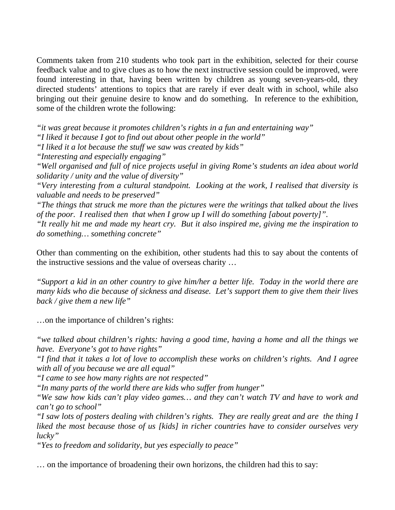Comments taken from 210 students who took part in the exhibition, selected for their course feedback value and to give clues as to how the next instructive session could be improved, were found interesting in that, having been written by children as young seven-years-old, they directed students' attentions to topics that are rarely if ever dealt with in school, while also bringing out their genuine desire to know and do something. In reference to the exhibition, some of the children wrote the following:

*"it was great because it promotes children's rights in a fun and entertaining way"* 

*"I liked it because I got to find out about other people in the world"* 

*"I liked it a lot because the stuff we saw was created by kids"* 

*"Interesting and especially engaging"* 

*"Well organised and full of nice projects useful in giving Rome's students an idea about world solidarity / unity and the value of diversity"* 

*"Very interesting from a cultural standpoint. Looking at the work, I realised that diversity is valuable and needs to be preserved"* 

*"The things that struck me more than the pictures were the writings that talked about the lives of the poor. I realised then that when I grow up I will do something [about poverty]".* 

*"It really hit me and made my heart cry. But it also inspired me, giving me the inspiration to do something… something concrete"* 

Other than commenting on the exhibition, other students had this to say about the contents of the instructive sessions and the value of overseas charity …

*"Support a kid in an other country to give him/her a better life. Today in the world there are many kids who die because of sickness and disease. Let's support them to give them their lives back / give them a new life"* 

…on the importance of children's rights:

*"we talked about children's rights: having a good time, having a home and all the things we have. Everyone's got to have rights"* 

*"I find that it takes a lot of love to accomplish these works on children's rights. And I agree with all of you because we are all equal"* 

*"I came to see how many rights are not respected"* 

*"In many parts of the world there are kids who suffer from hunger"* 

*"We saw how kids can't play video games… and they can't watch TV and have to work and can't go to school"* 

*"I saw lots of posters dealing with children's rights. They are really great and are the thing I liked the most because those of us [kids] in richer countries have to consider ourselves very lucky"* 

*"Yes to freedom and solidarity, but yes especially to peace"* 

… on the importance of broadening their own horizons, the children had this to say: